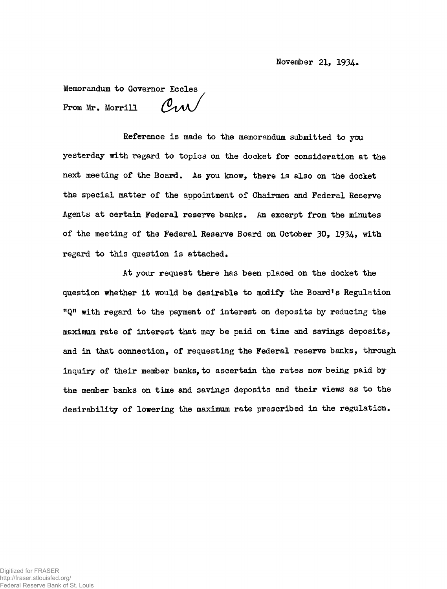November 21, 1934-

Memorandum to Governor Eccles Crw From Mr. Morrill

Reference is made to the memorandum submitted to you yesterday with regard to topics on the docket for consideration at the next meeting of the Board. As you know, there is also on the docket the special matter of the appointment of Chairmen and Federal Reserve Agents at certain Federal reserve banks. An excerpt from the minutes of the meeting of the Federal Reserve Board on October 30, 1934., with regard to this question is attached.

At your request there has been placed on the docket the question whether it would be desirable to modify the Board<sup>1</sup>s Regulation "Q" with regard to the payment of interest on deposits by reducing the maximum rate of interest that may be paid on time and savings deposits, and in that connection, of requesting the Federal reserve banks, through inquiry of their member banks, to ascertain the rates now being paid by the member banks on time and savings deposits and their views as to the desirability of lowering the maximum rate prescribed in the regulation.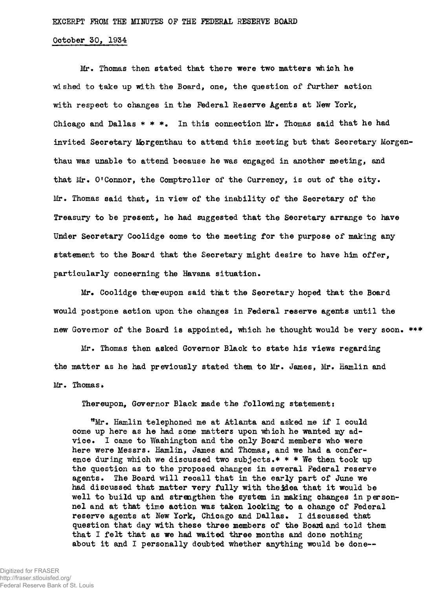## October 50, 1954

Mr. Thomas then stated that there were two matters which he •wished to take up with the Board, one, the question of further action with respect to changes in the Federal Reserve Agents at New York, Chicago and Dallas  $* * *$ . In this connection Mr. Thomas said that he had invited Secretary Morgenthau to attend this meeting but that Secretary Morgenthau was unable to attend because he was engaged in another meeting, and that Mr. O'Connor, the Comptroller of the Currency, is out of the city. Mr. Thomas said that, in view of the inability of the Secretary of the Treasury to be present, he had suggested that the Secretary arrange to have Under Secretary Coolidge come to the meeting for the purpose of making any statement to the Board that the Secretary might desire to have him offer, particularly concerning the Havana situation.

Mr. Coolidge thereupon said that the Secretary hoped that the Board would postpone action upon the changes in Federal reserve agents until the new Governor of the Board is appointed, which he thought would be very soon. \*\*\*

Mr. Thomas then asked Governor Black to state his views regarding the matter as he had previously stated them to Mr. James, Mr. Hamlin and Mr. Thomas.

Thereupon, Governor Black made the following statement:

tfMr. Hamlin telephoned me at Atlanta and asked me if I could come up here as he had some matters upon which he wanted my advice. I came to Washington and the only Board members who were here were Messrs. Hamlin, James and Thomas, and we had a conference during which we discussed two subjects.\*  $*$  \* We then took up the question as to the proposed changes in several Federal reserve agents. The Board will recall that in the early part of June we had discussed that matter very fully with the idea that it would be well to build up and strengthen the system in making changes in personnel and at that time action was taken looking to a change of Federal reserve agents at New York, Chicago and Dallas. I discussed that question that day with these three members of the Board and told them that I felt that as we had waited three months and done nothing about it and I personally doubted whether anything would be done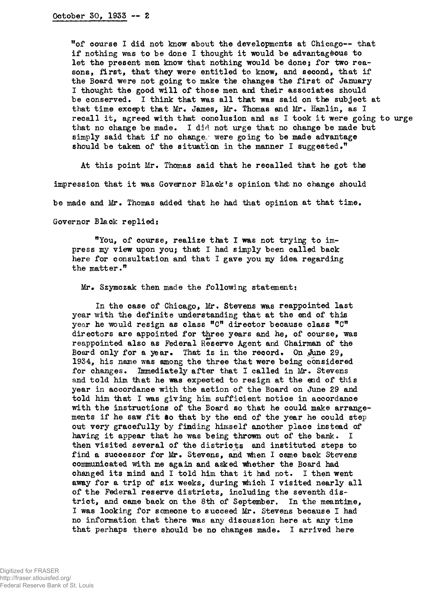ffof course I did not know about the developments at Chicago-- that if nothing was to be done I thought it would be advantageous to let the present men know that nothing would be done; for two reasons, first, that they were entitled to know, and second, that if the Board were not going to make the changes the first of January I thought the good will of those men and their associates should be conserved. I think that was all that was said on the subject at that time except that Mr. James, Mr. Thomas and Mr. Hamlin, as I recall it, agreed with that conclusion and as I took it were going to urge that no change be made. I did not urge that no change be made but simply said that if no change, were going to be made advantage should be taken of the situation in the manner I suggested.<sup>"</sup>

At this point Mr, Thomas said that he recalled that he got the impression that it was Governor Black's opinion that no change should be made and Mr. Thomas added that he had that opinion at that time. Governor Black replied:

"You, of course, realize that I was not trying to impress my view upon you; that I had simply been called back here for consultation and that I gave you my idea regarding the matter."

Mr. Szymczak then made the following statement:

In the case of Chicago, Mr. Stevens was reappointed last year with the definite understanding that at the end of this year he would resign as class "C" director because class "C' directors are appointed for three years and he, of course, was reappointed also as Federal Reserve Agent and Chairman of the Board only for a year. That is in the record. On ,June 29, 1934, his name was among the three that were being considered for changes. Immediately after that I called in Mr. Stevens and told him that he was expected to resign at the end of this year in accordance with the action of the Board on June 29 and told him that I was giving him sufficient notice in accordance with the instructions of the Board so that he could make arrangements if he saw fit so that by the end of the year he could step out very gracefully by finding himself another place instead of having it appear that he was being thrown out of the bank. I then visited several of the districts and instituted steps to find a successor for Mr. Stevens, and when I came back Stevens communicated with me again and asked whether the Board had changed its mind and I told him that it had not. I then went away for a trip of six weeks, during which I visited nearly all of the Federal reserve districts, including the seventh district, and came back on the 8th of September, In the meantime, I was looking for someone to succeed Mr. Stevens because I had no information that there was any discussion here at any time that perhaps there should be no changes made. I arrived here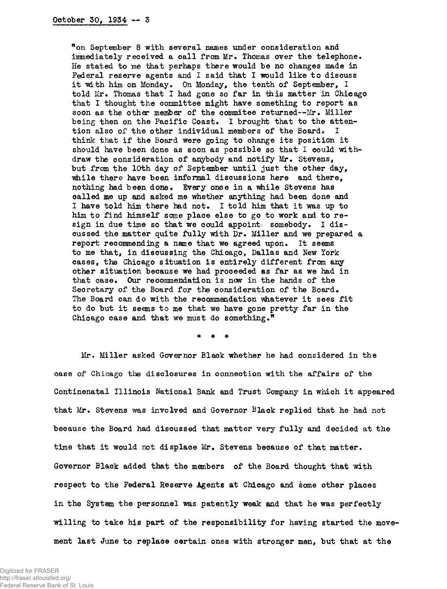<sup>w</sup>on September 8 with several names under consideration and immediately received a call from Mr. Thomas over the telephone. He stated to me that perhaps there would be no changes made in Federal reserve agents and I said that I would like to discuss it with him on Monday. On Monday, the tenth of September, I told Mr. Thomas that I had gone so far in this matter in Chicago that I thought the committee might have something to report as soon as the other member of the commitee returned--Mr. Miller being then on the Pacific Coast. I brought that to the attention also of the other individual members of the Board. I think that if the Board were going to change its position it should have been done as soon as possible so that I could withdraw the consideration of anybody and notify Mr. Stevens, but from the 10th day of September until just the other day, while there have been informal discussions here and there, nothing had been done. Every once in a while Stevens has called me up and asked me whether anything had been done and I have told him there had not. I told him that it was up to him to find himself some place else to go to work and to resign in due time so that we could appoints somebody. I discussed the matter quite fully with Dr. Miller and we prepared a report recommending a name that we agreed upon. It seems to me that, in discussing the Chicago, Dallas and New York cases, the Chicago situation is entirely different from any other situation because we had proceeded as far as we had in that case. Our recommendation is now in the hands of the Secretary of the Board for the consideration of the Board. The Board can do with the recommendation whatever it sees fit to do but it seems to me that we have gone pretty far in the Chicago case and that we must do something."

 $\star$ 

Mr. Miller asked Governor Black whether he had considered in the case of Chicago the disclosures in connection with the affairs of the Continenatal Illinois National Bank and Trust Company in which it appeared that Mr. Stevens was involved and Governor Black replied that he had not because the Board had discussed that matter very fully and decided at the time that it would not displace Mr. Stevens because of that matter. Governor Black added that the members of the Board thought that with respect to the Federal Reserve Agents at Chicago and some other places in the System the personnel was patently weak and that he was perfectly willing to take his part of the responsibility for having started the movement last June to replace certain ones with stronger men, but that at the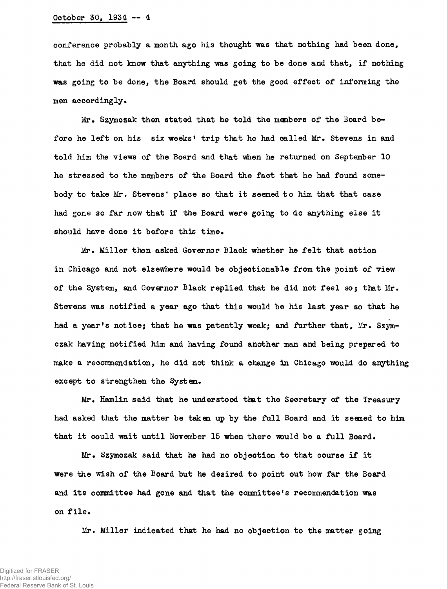## October 30, 1934 — 4

conference probably a month ago his thought was that nothing had been done, that he did not know that anything was going to be done and that, if nothing was going to be done, the Board should get the good effect of informing the men accordingly.

Mr. Szymczak then stated that he told the manbers of the Board before he left on his six weeks' trip that he had called Mr. Stevens in and told him the views of the Board and that when he returned on September 10 he stressed to the members of the Board the fact that he had found somebody to take Mr. Stevens' place so that it seemed to him that that case had gone so far now that if the Board were going to do anything else it should have done it before this time.

Mr. Miller then asked Governor Black whether he felt that action in Chicago and not elsewhere would be objectionable from the point of view of the System, and Governor Black replied that he did not feel so; that Mr. Stevens was notified a year ago that this would be his last year so that he had a year's notice; that he was patently weak; and further that, Mr. Szymczak having notified him and having found another man and being prepared to make a recommendation, he did not think a change in Chicago would do anything except to strengthen the System.

Mr. Hamlin said that he under stood that the Secretary of the Treasury had asked that the matter be taken up by the full Board and it seemed to him that it could wait until November 15 when there would be a full Board.

Mr. Szymozak said that he had no objeotion to that course if it were the wish of the Board but he desired to point out how far the Board and its committee had gone and that the committee's recommendation was on file.

Mr. Miller indicated that he had no objection to the matter going